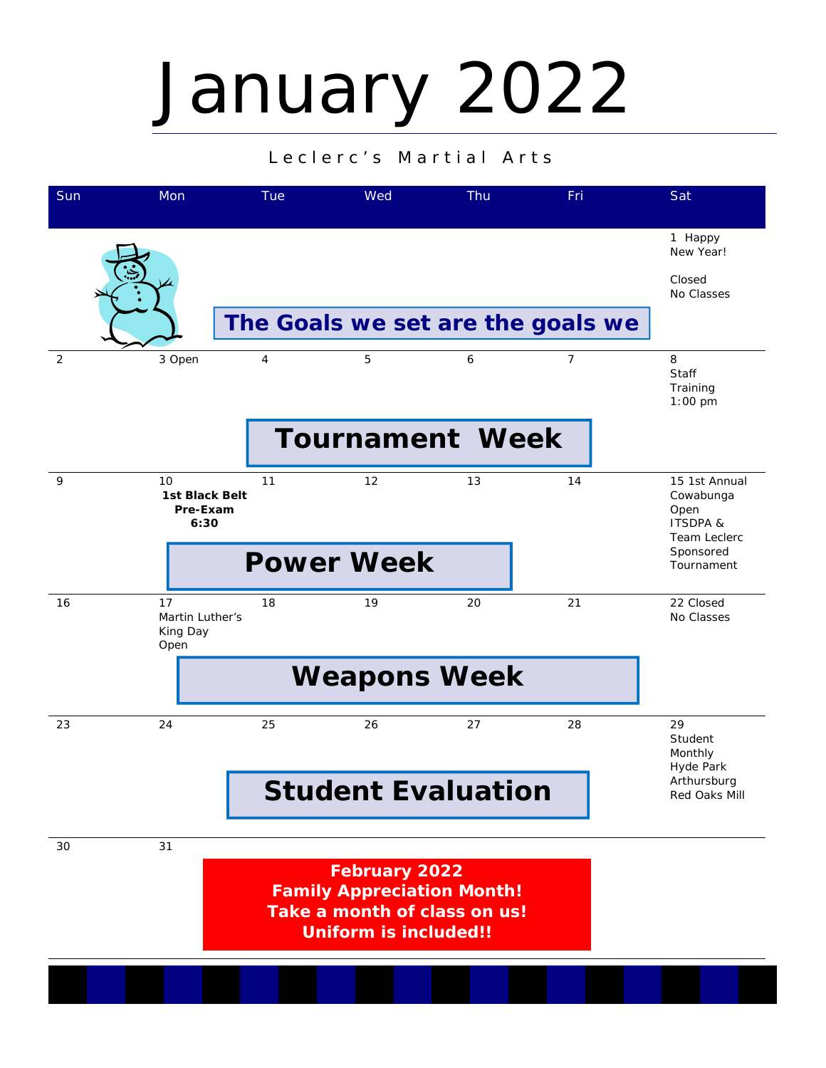## January 2022

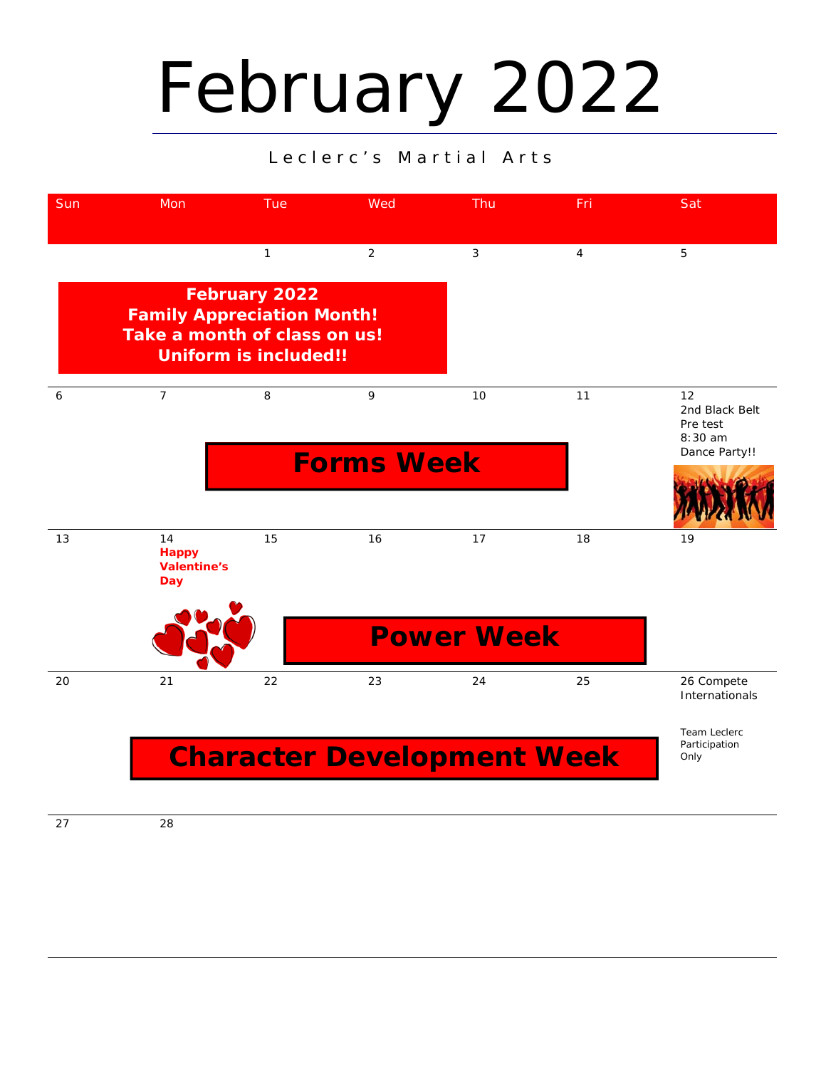## February 2022

#### Leclerc's Martial Arts



27 28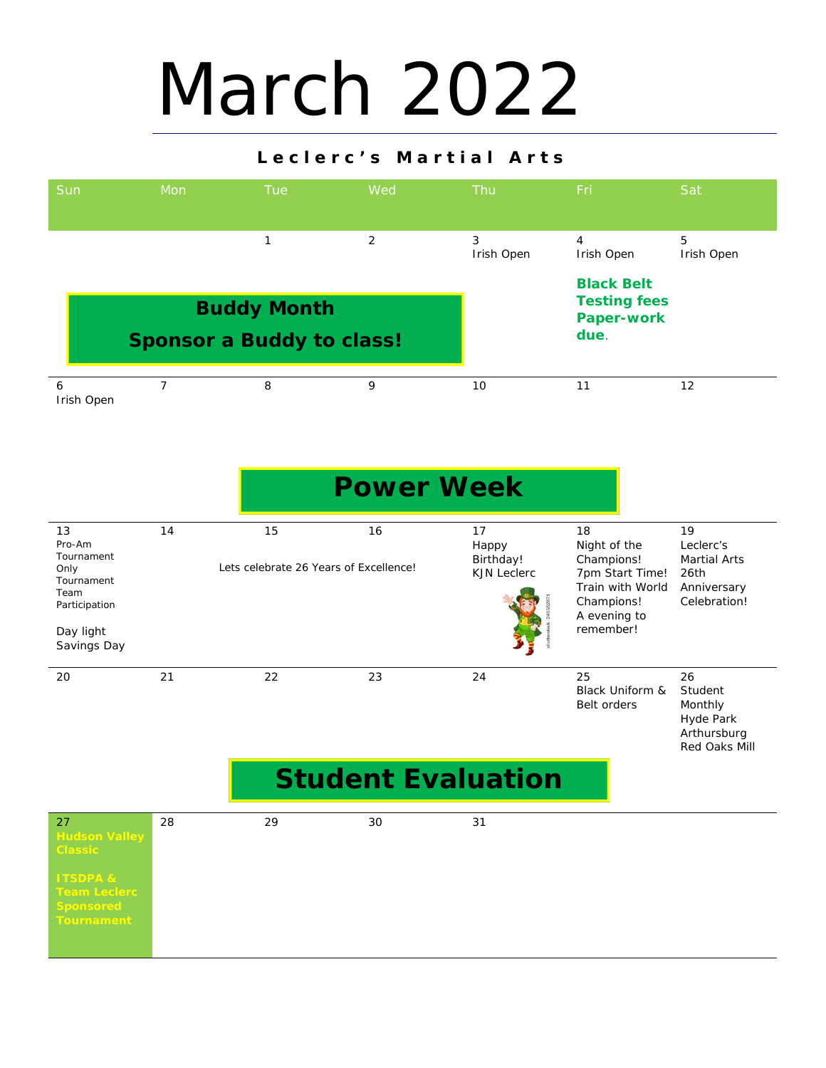## March 2022

| Sun                                                                                                   | Mon            | <b>Tue</b>                                   | Wed               | Thu                                            | Fri                                                                                                                | Sat                                                                           |
|-------------------------------------------------------------------------------------------------------|----------------|----------------------------------------------|-------------------|------------------------------------------------|--------------------------------------------------------------------------------------------------------------------|-------------------------------------------------------------------------------|
|                                                                                                       |                | 1                                            | $\overline{2}$    | 3<br>Irish Open                                | $\overline{4}$<br>Irish Open                                                                                       | 5<br>Irish Open                                                               |
|                                                                                                       |                | <b>Buddy Month</b>                           |                   |                                                | <b>Black Belt</b><br><b>Testing fees</b><br><b>Paper-work</b>                                                      |                                                                               |
|                                                                                                       |                | <b>Sponsor a Buddy to class!</b>             |                   |                                                | due.                                                                                                               |                                                                               |
| 6<br>Irish Open                                                                                       | $\overline{7}$ | 8                                            | 9                 | 10                                             | 11                                                                                                                 | 12                                                                            |
|                                                                                                       |                |                                              | <b>Power Week</b> |                                                |                                                                                                                    |                                                                               |
| 13<br>Pro-Am<br>Tournament<br>Only<br>Tournament<br>Team<br>Participation<br>Day light<br>Savings Day | 14             | 15<br>Lets celebrate 26 Years of Excellence! | 16                | 17<br>Happy<br>Birthday!<br><b>KJN Leclerc</b> | 18<br>Night of the<br>Champions!<br>7pm Start Time!<br>Train with World<br>Champions!<br>A evening to<br>remember! | 19<br>Leclerc's<br><b>Martial Arts</b><br>26th<br>Anniversary<br>Celebration! |
| 20                                                                                                    | 21             | 22                                           | 23                | 24                                             | 25<br>Black Uniform &<br><b>Belt orders</b>                                                                        | 26<br>Student<br>Monthly<br>Hyde Park<br>Arthursburg<br>Red Oaks Mill         |
|                                                                                                       |                |                                              |                   | <b>Student Evaluation</b>                      |                                                                                                                    |                                                                               |
| $\Omega$                                                                                              | $\Omega$       | $\Omega$                                     | $\Omega$          | 21                                             |                                                                                                                    |                                                                               |

| 27<br><b>Hudson Valley</b><br><b>Classic</b>                                 | 28 | 29 | 30 | 31 |
|------------------------------------------------------------------------------|----|----|----|----|
| <b>ITSDPA &amp;</b><br>Team Leclerc<br><b>Sponsored</b><br><b>Tournament</b> |    |    |    |    |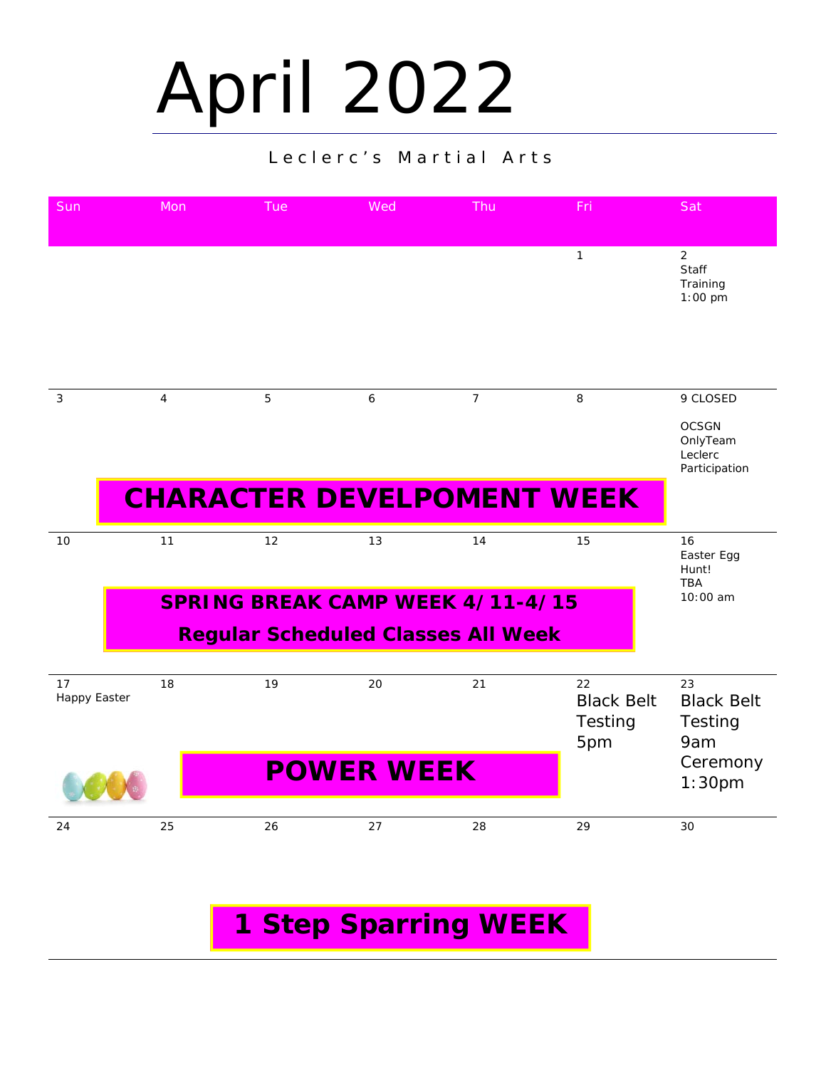# April 2022

#### Leclerc's Martial Arts

| Sun                       | Mon            | Tue                                       | Wed               | Thu            | Fri                                       | Sat                                                  |
|---------------------------|----------------|-------------------------------------------|-------------------|----------------|-------------------------------------------|------------------------------------------------------|
|                           |                |                                           |                   |                | $\mathbf{1}$                              | $\overline{2}$<br>Staff<br>Training<br>$1:00$ pm     |
|                           |                |                                           |                   |                |                                           |                                                      |
| 3                         | $\overline{4}$ | 5                                         | 6                 | $\overline{7}$ | 8                                         | 9 CLOSED                                             |
|                           |                |                                           |                   |                |                                           | <b>OCSGN</b><br>OnlyTeam<br>Leclerc<br>Participation |
|                           |                | <b>CHARACTER DEVELPOMENT WEEK</b>         |                   |                |                                           |                                                      |
| 10                        | 11             | 12                                        | 13                | 14             | 15                                        | 16<br>Easter Egg<br>Hunt!<br><b>TBA</b>              |
|                           |                | <b>SPRING BREAK CAMP WEEK 4/11-4/15</b>   |                   |                |                                           | 10:00 am                                             |
|                           |                | <b>Regular Scheduled Classes All Week</b> |                   |                |                                           |                                                      |
| 17<br><b>Happy Easter</b> | 18             | 19                                        | 20                | 21             | 22<br><b>Black Belt</b><br>Testing<br>5pm | 23<br><b>Black Belt</b><br>Testing<br>9am            |
|                           |                |                                           | <b>POWER WEEK</b> |                |                                           | Ceremony<br>1:30 <sub>pm</sub>                       |
| 24                        | 25             | 26                                        | 27                | 28             | 29                                        | 30                                                   |

## **1 Step Sparring WEEK**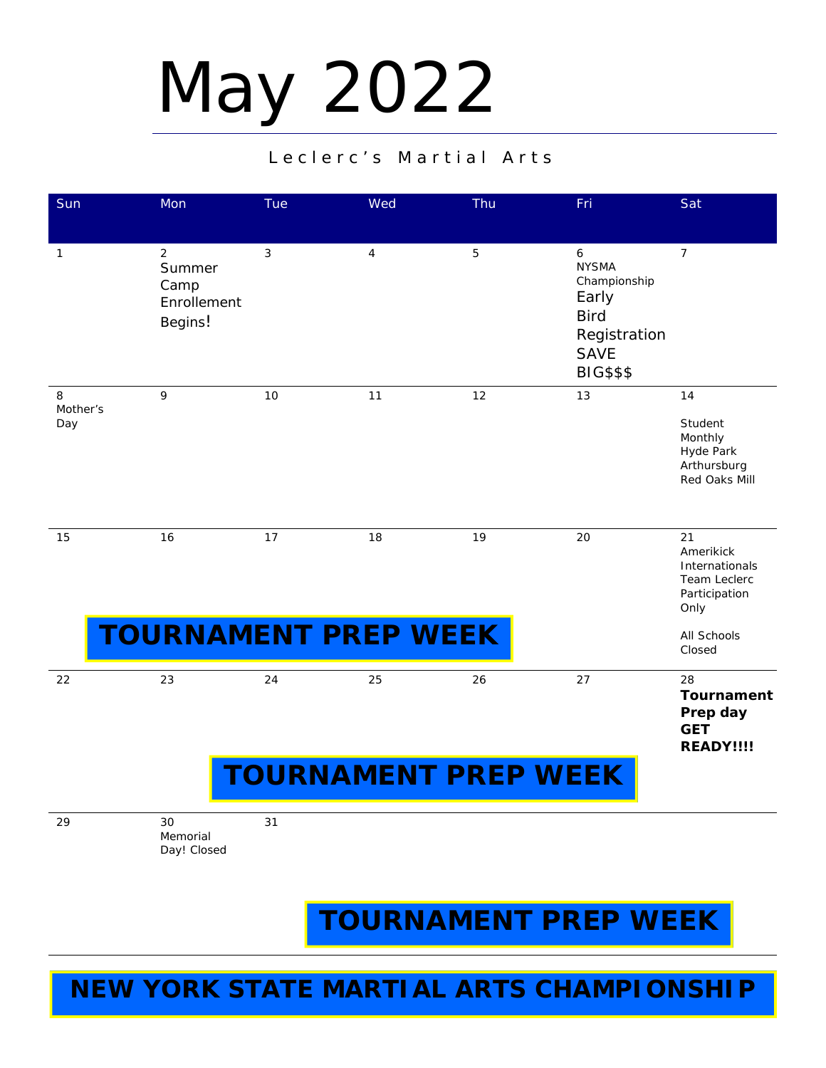# May 2022

#### Leclerc's Martial Arts

| Sun                  | Mon                                                        | Tue                         | Wed            | Thu | Fri                                                                                                          | Sat                                                                        |  |  |  |
|----------------------|------------------------------------------------------------|-----------------------------|----------------|-----|--------------------------------------------------------------------------------------------------------------|----------------------------------------------------------------------------|--|--|--|
| $\mathbf{1}$         | $\overline{2}$<br>Summer<br>Camp<br>Enrollement<br>Begins! | 3                           | $\overline{4}$ | 5   | 6<br><b>NYSMA</b><br>Championship<br>Early<br><b>Bird</b><br>Registration<br><b>SAVE</b><br><b>BIG\$\$\$</b> | $\overline{7}$                                                             |  |  |  |
| 8<br>Mother's<br>Day | 9                                                          | 10                          | 11             | 12  | 13                                                                                                           | 14<br>Student<br>Monthly<br>Hyde Park<br>Arthursburg<br>Red Oaks Mill      |  |  |  |
| 15                   | 16                                                         | 17                          | 18             | 19  | 20                                                                                                           | 21<br>Amerikick<br>Internationals<br>Team Leclerc<br>Participation<br>Only |  |  |  |
|                      |                                                            | <b>TOURNAMENT PREP WEEK</b> |                |     |                                                                                                              | All Schools<br>Closed                                                      |  |  |  |
| 22                   | 23                                                         | 24                          | 25             | 26  | 27                                                                                                           | 28<br><b>Tournament</b><br>Prep day<br><b>GET</b><br><b>READY!!!!</b>      |  |  |  |
|                      | <b>TOURNAMENT PREP WEEK</b>                                |                             |                |     |                                                                                                              |                                                                            |  |  |  |

29 30

Memorial Day! Closed 31

**TOURNAMENT PREP WEEK** 

### **NEW YORK STATE MARTIAL ARTS CHAMPIONSHIP**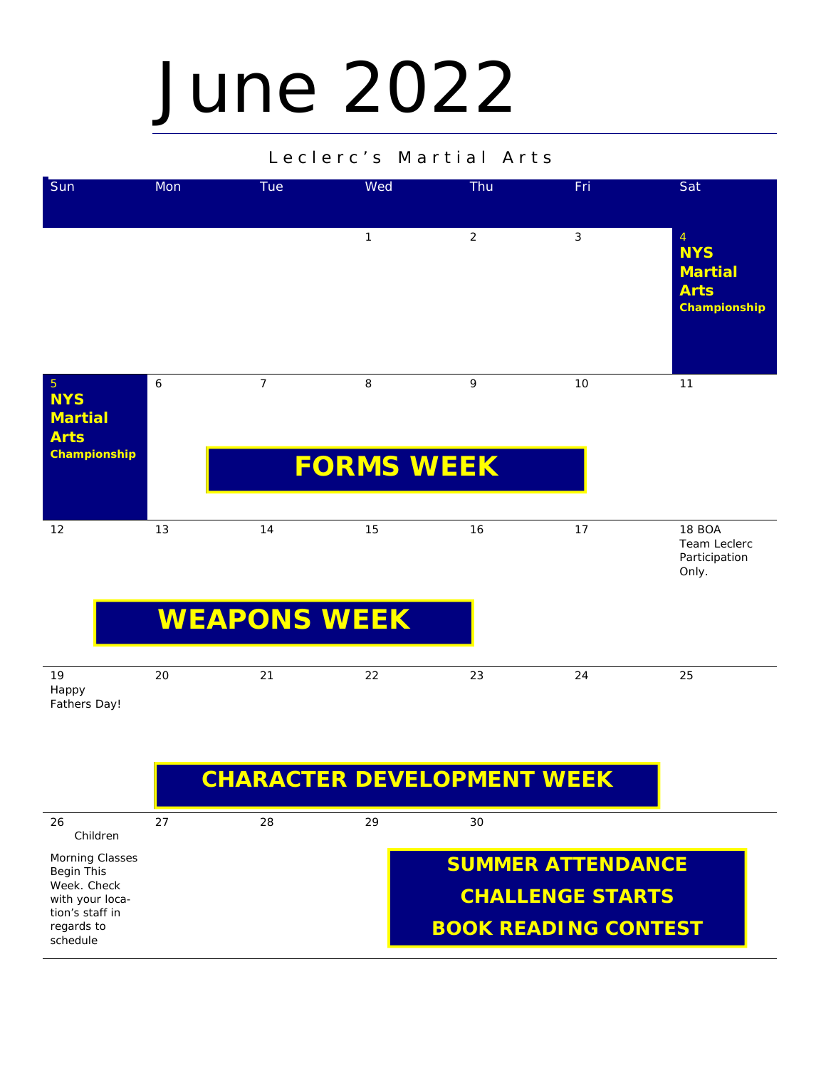## June 2022

#### Leclerc's Martial Arts



### **CHARACTER DEVELOPMENT WEEK**

| 26                             | 27 | 28 | 29 | 30                          |
|--------------------------------|----|----|----|-----------------------------|
| Children                       |    |    |    |                             |
| <b>Morning Classes</b>         |    |    |    | <b>SUMMER ATTENDANCE</b>    |
| Begin This                     |    |    |    |                             |
| Week, Check<br>with your loca- |    |    |    | <b>CHALLENGE STARTS</b>     |
| tion's staff in                |    |    |    |                             |
| regards to                     |    |    |    | <b>BOOK READING CONTEST</b> |
| schedule                       |    |    |    |                             |
|                                |    |    |    |                             |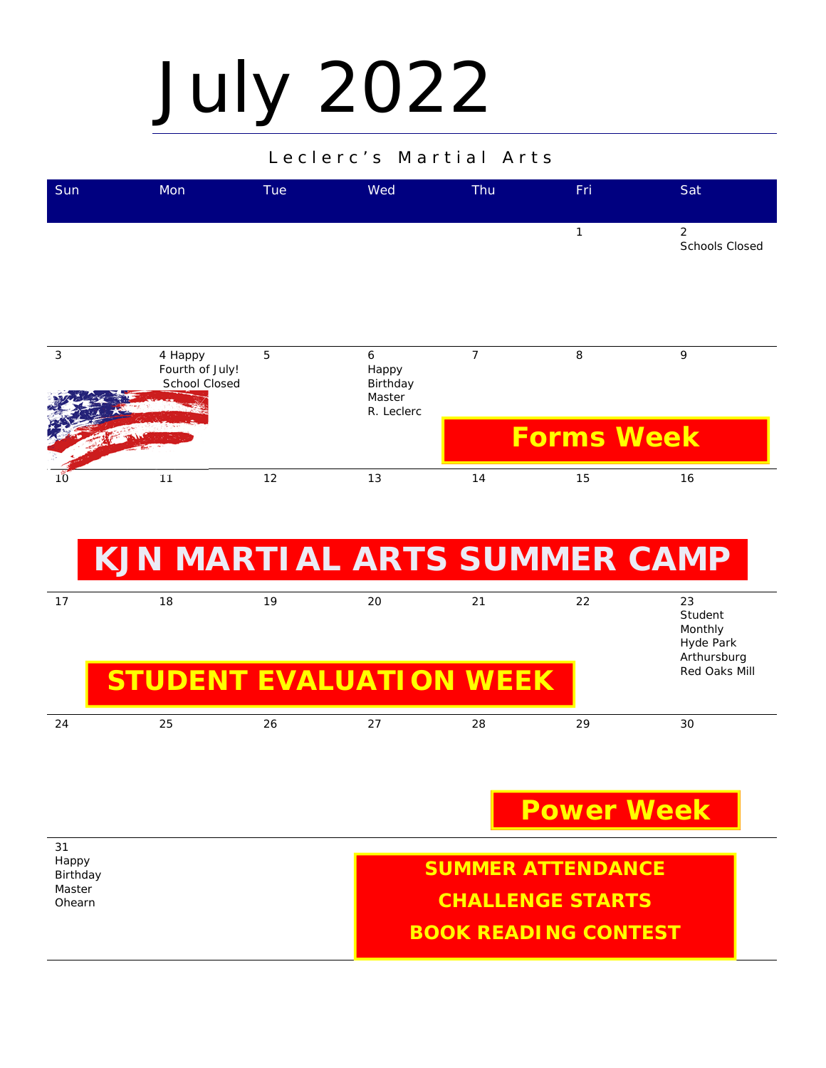# July 2022

#### Leclerc's Martial Arts

| Sun | Mon                                         | Tue            | Wed                                            | Thu            | Fri               | Sat                                     |
|-----|---------------------------------------------|----------------|------------------------------------------------|----------------|-------------------|-----------------------------------------|
|     |                                             |                |                                                |                | 1                 | $\overline{2}$<br><b>Schools Closed</b> |
| 3   | 4 Happy<br>Fourth of July!<br>School Closed | $\overline{5}$ | 6<br>Happy<br>Birthday<br>Master<br>R. Leclerc | $\overline{7}$ | 8                 | 9                                       |
|     |                                             |                |                                                |                | <b>Forms Week</b> |                                         |
| 10  | 11                                          | 12             | 13                                             | 14             | 15                | 16                                      |

## **KJN MARTIAL ARTS SUMMER CAMP**

| 17 | 18<br><b>STUDENT EVALUATION WEEK</b> | 19 | 20 | 21 | 22 | 23<br>Student<br>Monthly<br>Hyde Park<br>Arthursburg<br>Red Oaks Mill |
|----|--------------------------------------|----|----|----|----|-----------------------------------------------------------------------|
| 24 | 25                                   | 26 | 27 | 28 | 29 | 30                                                                    |

### **Power Week**

31 Happy Birthday Master Ohearn **SUMMER ATTENDANCE CHALLENGE STARTS BOOK READING CONTEST**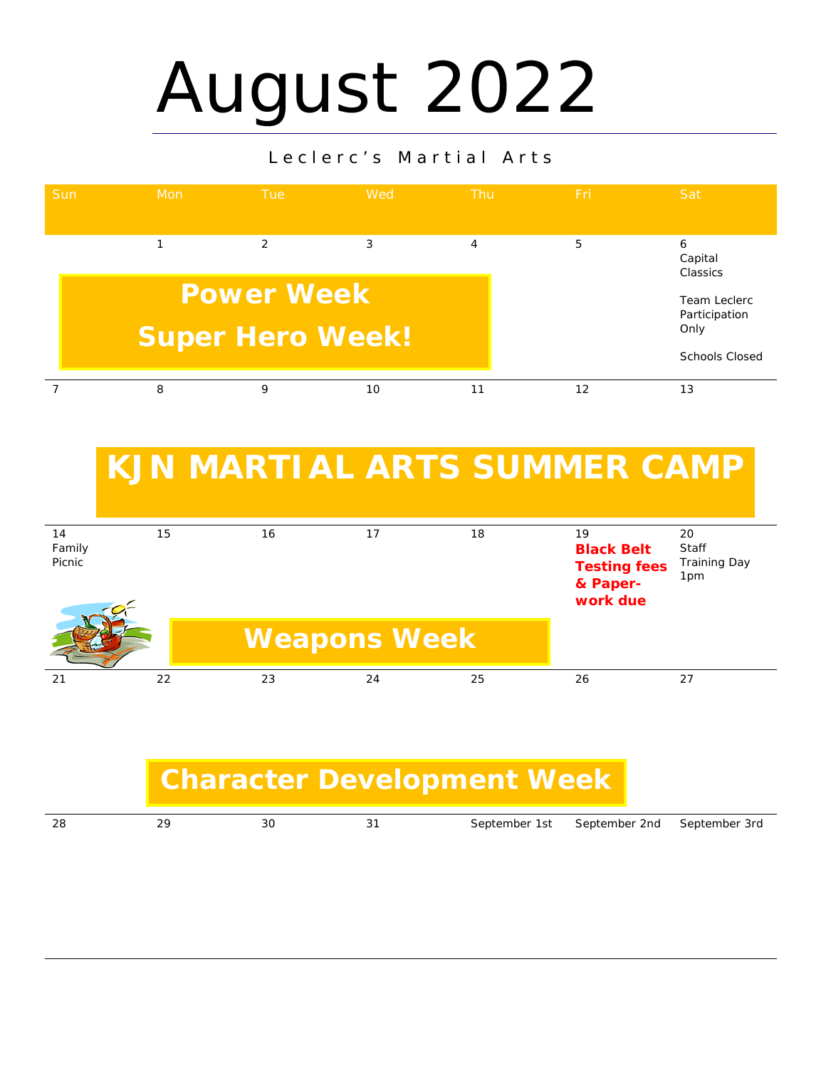## August 2022

#### Leclerc's Martial Arts



## **KJN MARTIAL ARTS SUMMER CAMP**

| 14<br>Family<br>Picnic | 15 | 16 | 17                  | 18 | 19<br><b>Black Belt</b><br><b>Testing fees</b><br>& Paper-<br>work due | 20<br>Staff<br><b>Training Day</b><br>1pm |
|------------------------|----|----|---------------------|----|------------------------------------------------------------------------|-------------------------------------------|
|                        |    |    | <b>Weapons Week</b> |    |                                                                        |                                           |
| 21                     | 22 | 23 | 24                  | 25 | 26                                                                     | 27                                        |

### **Character Development Week**

| -28<br>September 1st September 2nd September 3rd<br>∩ -<br>29<br>3C |  |
|---------------------------------------------------------------------|--|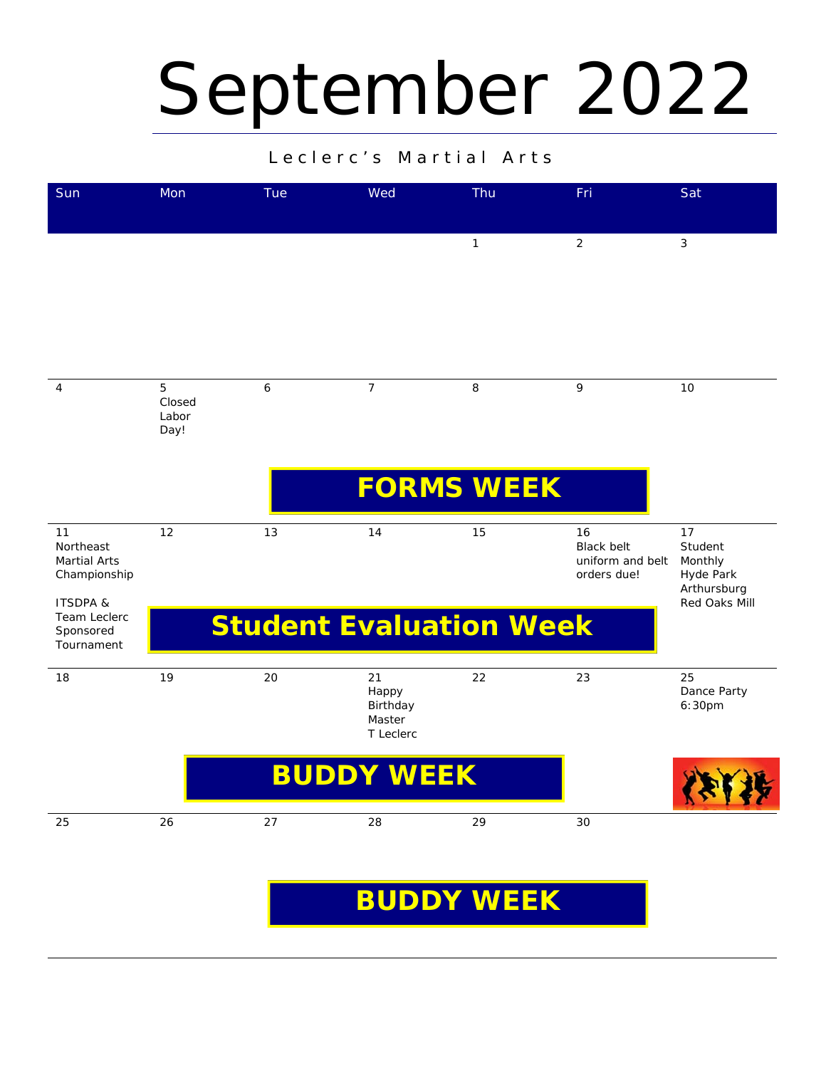## September 2022

#### Leclerc's Martial Arts

| Sun                                                                   | Mon                          | Tue | Wed                                            | Thu          | Fri                                                        | Sat                                                  |
|-----------------------------------------------------------------------|------------------------------|-----|------------------------------------------------|--------------|------------------------------------------------------------|------------------------------------------------------|
|                                                                       |                              |     |                                                | $\mathbf{1}$ | $\overline{2}$                                             | 3                                                    |
| $\overline{4}$                                                        | 5<br>Closed<br>Labor<br>Day! | 6   | $\overline{7}$                                 | 8            | 9                                                          | 10                                                   |
|                                                                       |                              |     | <b>FORMS WEEK</b>                              |              |                                                            |                                                      |
| 11<br>Northeast<br><b>Martial Arts</b><br>Championship                | 12                           | 13  | 14                                             | 15           | 16<br><b>Black belt</b><br>uniform and belt<br>orders due! | 17<br>Student<br>Monthly<br>Hyde Park<br>Arthursburg |
| <b>ITSDPA &amp;</b><br><b>Team Leclerc</b><br>Sponsored<br>Tournament |                              |     | <b>Student Evaluation Week</b>                 |              |                                                            | Red Oaks Mill                                        |
| 18                                                                    | 19                           | 20  | 21<br>Happy<br>Birthday<br>Master<br>T Leclerc | 22           | 23                                                         | 25<br>Dance Party<br>6:30pm                          |
|                                                                       |                              |     | <b>BUDDY WEEK</b>                              |              |                                                            |                                                      |
| 25                                                                    | 26                           | 27  | 28                                             | 29           | 30                                                         |                                                      |

### **BUDDY WEEK**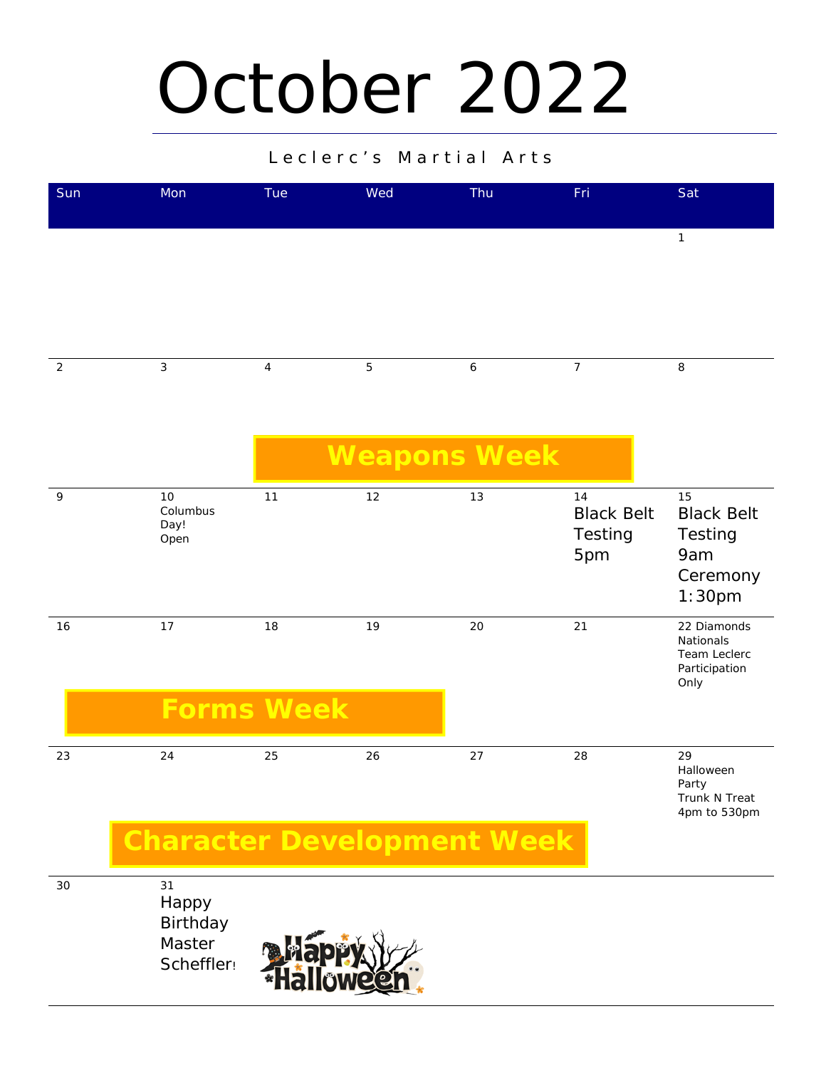## October 2022

#### Leclerc's Martial Arts

| Sun            | Mon                            | Tue        | Wed                 | Thu              | Fri                                       | Sat                                                                         |
|----------------|--------------------------------|------------|---------------------|------------------|-------------------------------------------|-----------------------------------------------------------------------------|
|                |                                |            |                     |                  |                                           | $\mathbf{1}$                                                                |
| $\overline{2}$ | $\mathbf{3}$                   | $\sqrt{4}$ | $\mathbf 5$         | $\boldsymbol{6}$ | $\overline{7}$                            | $\,8\,$                                                                     |
|                |                                |            | <b>Weapons Week</b> |                  |                                           |                                                                             |
| $\mathsf q$    | 10<br>Columbus<br>Day!<br>Open | 11         | 12                  | 13               | 14<br><b>Black Belt</b><br>Testing<br>5pm | 15<br><b>Black Belt</b><br>Testing<br>9am<br>Ceremony<br>1:30 <sub>pm</sub> |
| 16             | 17                             | 18         | 19                  | 20               | 21                                        | 22 Diamonds<br>Nationals<br>Team Leclerc<br>Participation<br>Only           |
|                | <b>Forms Week</b>              |            |                     |                  |                                           |                                                                             |
| 23             | 24                             | 25         | 26                  | 27               | 28                                        | 29<br>Halloween<br>Party<br>Trunk N Treat<br>4pm to 530pm                   |

### **Character Development Week**

30 31

Happy Birthday Master Scheffler!

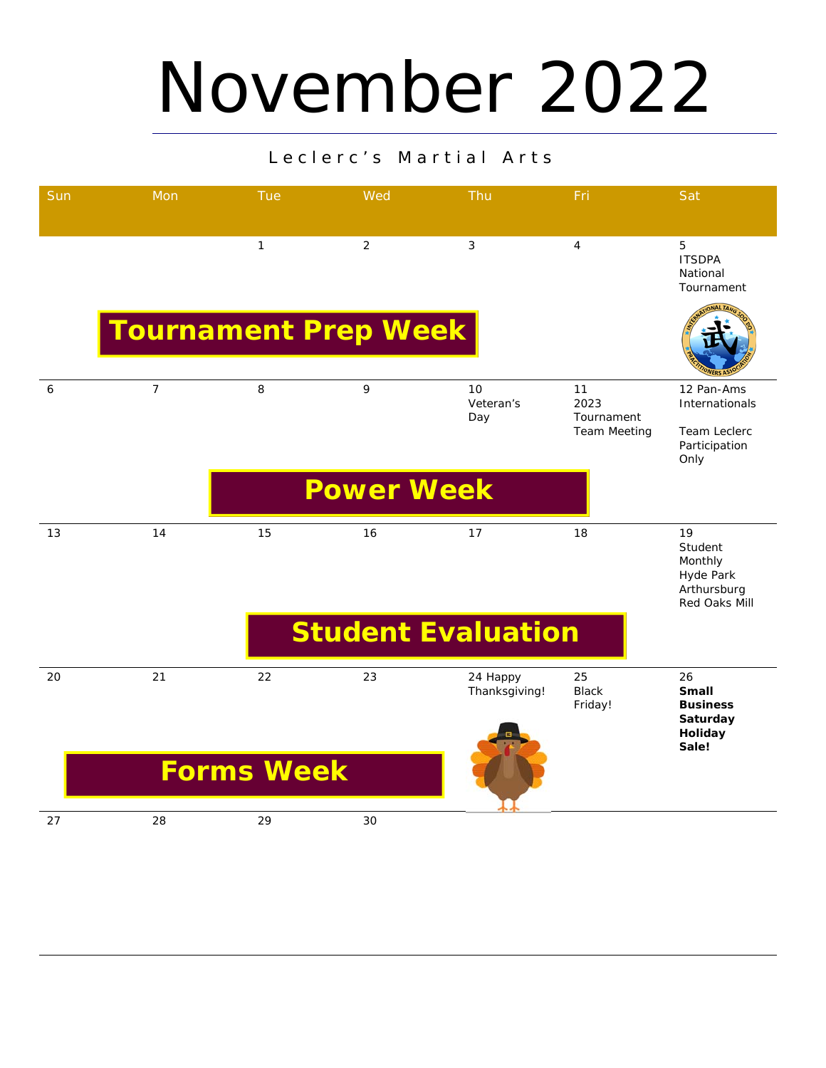## November 2022

| Sun | Mon                         | <b>Tue</b>        | Wed               | Thu                       | Fri                           | Sat                                                                   |
|-----|-----------------------------|-------------------|-------------------|---------------------------|-------------------------------|-----------------------------------------------------------------------|
|     |                             | $\mathbf{1}$      | $\overline{2}$    | 3                         | $\overline{4}$                | 5<br><b>ITSDPA</b><br>National<br>Tournament                          |
|     | <b>Tournament Prep Week</b> |                   |                   |                           |                               |                                                                       |
| 6   | $\overline{7}$              | 8                 | 9                 | 10<br>Veteran's<br>Day    | 11<br>2023<br>Tournament      | 12 Pan-Ams<br>Internationals                                          |
|     |                             |                   |                   |                           | <b>Team Meeting</b>           | <b>Team Leclerc</b><br>Participation<br>Only                          |
|     |                             |                   | <b>Power Week</b> |                           |                               |                                                                       |
| 13  | 14                          | 15                | 16                | 17                        | 18                            | 19<br>Student<br>Monthly<br>Hyde Park<br>Arthursburg<br>Red Oaks Mill |
|     |                             |                   |                   | <b>Student Evaluation</b> |                               |                                                                       |
| 20  | 21                          | 22                | 23                | 24 Happy<br>Thanksgiving! | 25<br><b>Black</b><br>Friday! | 26<br><b>Small</b><br><b>Business</b>                                 |
|     |                             |                   |                   |                           |                               | Saturday<br>Holiday<br>Sale!                                          |
|     |                             | <b>Forms Week</b> |                   |                           |                               |                                                                       |
| 27  | 28                          | 29                | 30                |                           |                               |                                                                       |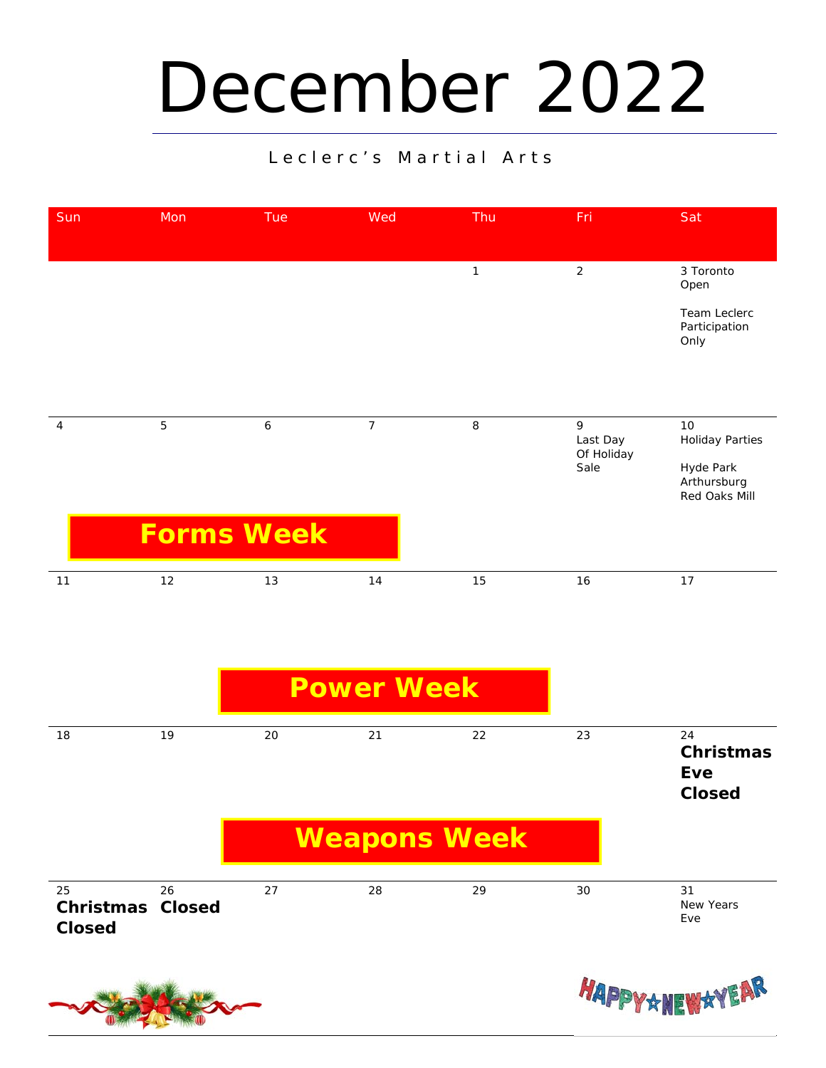## December 2022

| Sun | Mon               | Tue | Wed            | Thu     | Fri                                 | Sat                                                                       |
|-----|-------------------|-----|----------------|---------|-------------------------------------|---------------------------------------------------------------------------|
|     |                   |     |                | 1       | $\overline{2}$                      | 3 Toronto<br>Open<br>Team Leclerc<br>Participation<br>Only                |
| 4   | $\overline{5}$    | 6   | $\overline{7}$ | $\,8\,$ | 9<br>Last Day<br>Of Holiday<br>Sale | 10<br><b>Holiday Parties</b><br>Hyde Park<br>Arthursburg<br>Red Oaks Mill |
|     | <b>Forms Week</b> |     |                |         |                                     |                                                                           |
| 11  | 12                | 13  | 14             | 15      | 16                                  | 17                                                                        |